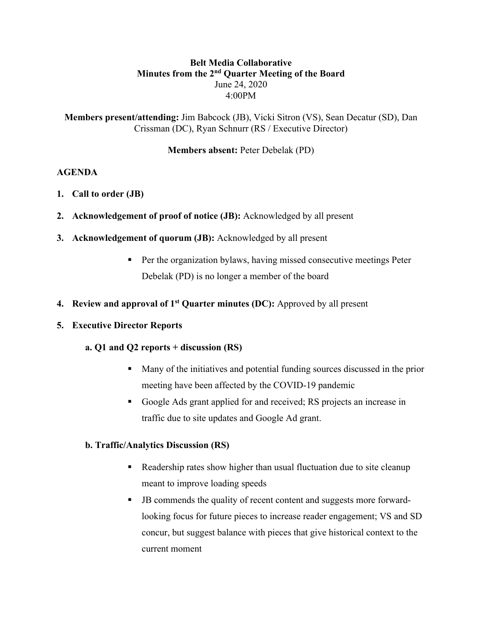# **Belt Media Collaborative Minutes from the 2nd Quarter Meeting of the Board** June 24, 2020 4:00PM

**Members present/attending:** Jim Babcock (JB), Vicki Sitron (VS), Sean Decatur (SD), Dan Crissman (DC), Ryan Schnurr (RS / Executive Director)

## **Members absent:** Peter Debelak (PD)

### **AGENDA**

- **1. Call to order (JB)**
- **2. Acknowledgement of proof of notice (JB):** Acknowledged by all present
- **3. Acknowledgement of quorum (JB):** Acknowledged by all present
	- Per the organization bylaws, having missed consecutive meetings Peter Debelak (PD) is no longer a member of the board
- **4. Review and approval of 1st Quarter minutes (DC):** Approved by all present

#### **5. Executive Director Reports**

#### **a. Q1 and Q2 reports + discussion (RS)**

- Many of the initiatives and potential funding sources discussed in the prior meeting have been affected by the COVID-19 pandemic
- Google Ads grant applied for and received; RS projects an increase in traffic due to site updates and Google Ad grant.

#### **b. Traffic/Analytics Discussion (RS)**

- Readership rates show higher than usual fluctuation due to site cleanup meant to improve loading speeds
- § JB commends the quality of recent content and suggests more forwardlooking focus for future pieces to increase reader engagement; VS and SD concur, but suggest balance with pieces that give historical context to the current moment